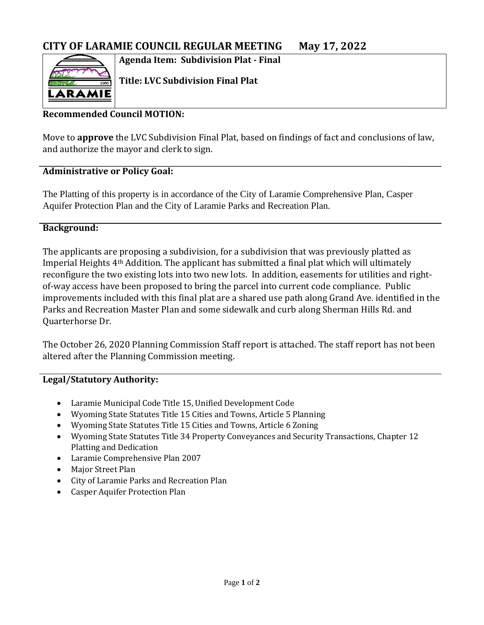**Agenda Item: Subdivision Plat - Final**



**Title: LVC Subdivision Final Plat**

## **Recommended Council MOTION:**

Move to **approve** the LVC Subdivision Final Plat, based on findings of fact and conclusions of law, and authorize the mayor and clerk to sign.

### **Administrative or Policy Goal:**

The Platting of this property is in accordance of the City of Laramie Comprehensive Plan, Casper Aquifer Protection Plan and the City of Laramie Parks and Recreation Plan.

### **Background:**

The applicants are proposing a subdivision, for a subdivision that was previously platted as Imperial Heights 4th Addition. The applicant has submitted a final plat which will ultimately reconfigure the two existing lots into two new lots. In addition, easements for utilities and rightof-way access have been proposed to bring the parcel into current code compliance. Public improvements included with this final plat are a shared use path along Grand Ave. identified in the Parks and Recreation Master Plan and some sidewalk and curb along Sherman Hills Rd. and Quarterhorse Dr.

The October 26, 2020 Planning Commission Staff report is attached. The staff report has not been altered after the Planning Commission meeting.

## **Legal/Statutory Authority:**

- Laramie Municipal Code Title 15, Unified Development Code
- Wyoming State Statutes Title 15 Cities and Towns, Article 5 Planning
- Wyoming State Statutes Title 15 Cities and Towns, Article 6 Zoning
- Wyoming State Statutes Title 34 Property Conveyances and Security Transactions, Chapter 12 Platting and Dedication
- Laramie Comprehensive Plan 2007
- Major Street Plan
- City of Laramie Parks and Recreation Plan
- Casper Aquifer Protection Plan